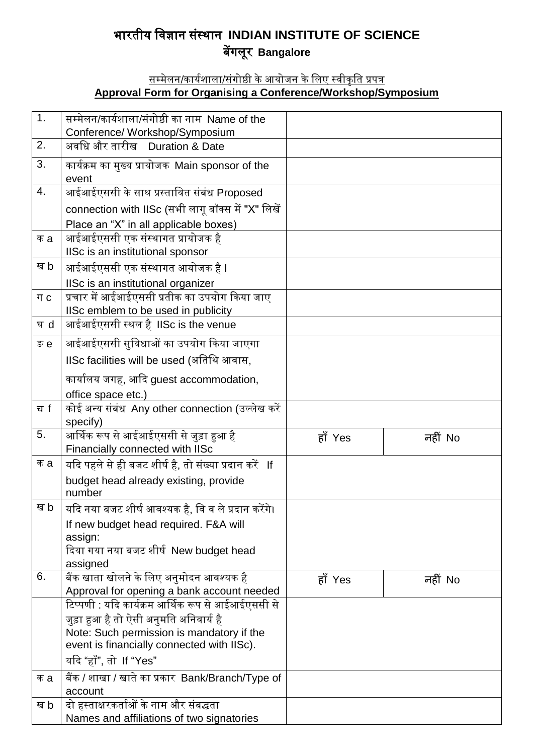## भारतीय विज्ञान संस्थान **INDIAN INSTITUTE OF SCIENCE** बेंगलूर **Bangalore**

## <u>सम्मेलन/कार्यशाला/संगोष्ठी के आयोजन के लिए स्वीकृति प्रपत्र</u> **Approval Form for Organising a Conference/Workshop/Symposium**

| 1.  | सम्मेलन/कार्यशाला/संगोष्ठी का नाम Name of the                                       |         |         |
|-----|-------------------------------------------------------------------------------------|---------|---------|
| 2.  | Conference/ Workshop/Symposium<br>अवधि और तारीख Duration & Date                     |         |         |
|     |                                                                                     |         |         |
| 3.  | कार्यक्रम का मुख्य प्रायोजक Main sponsor of the<br>event                            |         |         |
| 4.  | आईआईएससी के साथ प्रस्तावित संबंध Proposed                                           |         |         |
|     | connection with IISc (सभी लागू बॉक्स में "X" लिखें                                  |         |         |
|     | Place an "X" in all applicable boxes)                                               |         |         |
| क a | आईआईएससी एक संस्थागत प्रायोजक है                                                    |         |         |
|     | IISc is an institutional sponsor                                                    |         |         |
| ख b | आईआईएससी एक संस्थागत आयोजक है I                                                     |         |         |
|     | IISc is an institutional organizer                                                  |         |         |
| ग c | प्रचार में आईआईएससी प्रतीक का उपयोग किया जाए                                        |         |         |
|     | IISc emblem to be used in publicity<br>आईआईएससी स्थल है IISc is the venue           |         |         |
| घ d |                                                                                     |         |         |
| ङ e | आईआईएससी सुविधाओं का उपयोग किया जाएगा                                               |         |         |
|     | IISc facilities will be used (अतिथि आवास,                                           |         |         |
|     | कार्यालय जगह, आदि guest accommodation,                                              |         |         |
|     | office space etc.)                                                                  |         |         |
| ਹ f | कोई अन्य संबंध Any other connection (उल्लेख करें                                    |         |         |
|     | specify)                                                                            |         |         |
| 5.  | आर्थिक रूप से आईआईएससी से जुड़ा हुआ है<br>Financially connected with IISc           | हाँ Yes | नहीं No |
| क a | यदि पहले से ही बजट शीर्ष है, तो संख्या प्रदान करें <b>If</b>                        |         |         |
|     | budget head already existing, provide                                               |         |         |
|     | number                                                                              |         |         |
| ख b | यदि नया बजट शीर्ष आवश्यक है, वि व ले प्रदान करेंगे।                                 |         |         |
|     | If new budget head required. F&A will                                               |         |         |
|     | assign:                                                                             |         |         |
|     | दिया गया नया बजट शीर्ष New budget head<br>assigned                                  |         |         |
| 6.  | बैंक खाता खोलने के लिए अनुमोदन आवश्यक है                                            | हाँ Yes | नहीं No |
|     | Approval for opening a bank account needed                                          |         |         |
|     | टिप्पणी : यदि कार्यक्रम आर्थिक रूप से आईआईएससी से                                   |         |         |
|     | जुड़ा हुआ है तो ऐसी अनुमति अनिवार्य है                                              |         |         |
|     | Note: Such permission is mandatory if the                                           |         |         |
|     | event is financially connected with IISc).                                          |         |         |
|     | यदि "हाँ", तो If "Yes"                                                              |         |         |
| क a | बैंक / शाखा / खाते का प्रकार Bank/Branch/Type of                                    |         |         |
|     | account                                                                             |         |         |
| ख b | दो हस्ताक्षरकर्ताओं के नाम और संबद्धता<br>Names and affiliations of two signatories |         |         |
|     |                                                                                     |         |         |